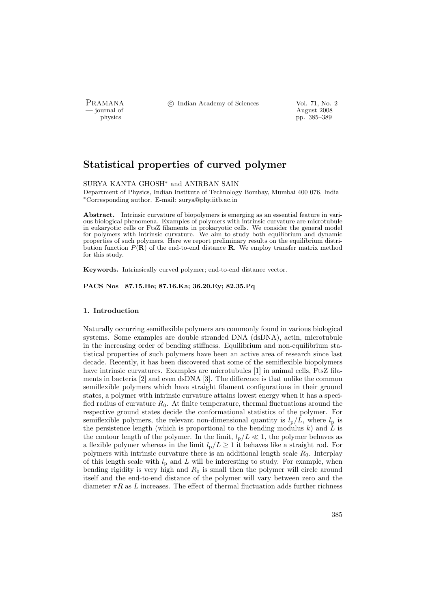PRAMANA °c Indian Academy of Sciences Vol. 71, No. 2

physics and the contract of the contract of the contract of the contract of the contract of the contract of the contract of the contract of the contract of the contract of the contract of the contract of the contract of th pp. 385–389

# Statistical properties of curved polymer

#### SURYA KANTA GHOSH<sup>∗</sup> and ANIRBAN SAIN

Department of Physics, Indian Institute of Technology Bombay, Mumbai 400 076, India <sup>∗</sup>Corresponding author. E-mail: surya@phy.iitb.ac.in

Abstract. Intrinsic curvature of biopolymers is emerging as an essential feature in various biological phenomena. Examples of polymers with intrinsic curvature are microtubule in eukaryotic cells or FtsZ filaments in prokaryotic cells. We consider the general model for polymers with intrinsic curvature. We aim to study both equilibrium and dynamic properties of such polymers. Here we report preliminary results on the equilibrium distribution function  $P(\mathbf{R})$  of the end-to-end distance **R**. We employ transfer matrix method for this study.

Keywords. Intrinsically curved polymer; end-to-end distance vector.

PACS Nos 87.15.He; 87.16.Ka; 36.20.Ey; 82.35.Pq

### 1. Introduction

Naturally occurring semiflexible polymers are commonly found in various biological systems. Some examples are double stranded DNA (dsDNA), actin, microtubule in the increasing order of bending stiffness. Equilibrium and non-equilibrium statistical properties of such polymers have been an active area of research since last decade. Recently, it has been discovered that some of the semiflexible biopolymers have intrinsic curvatures. Examples are microtubules [1] in animal cells, FtsZ filaments in bacteria [2] and even dsDNA [3]. The difference is that unlike the common semiflexible polymers which have straight filament configurations in their ground states, a polymer with intrinsic curvature attains lowest energy when it has a specified radius of curvature  $R_0$ . At finite temperature, thermal fluctuations around the respective ground states decide the conformational statistics of the polymer. For semiflexible polymers, the relevant non-dimensional quantity is  $l_p/L$ , where  $l_p$  is the persistence length (which is proportional to the bending modulus  $k$ ) and  $L$  is the contour length of the polymer. In the limit,  $l_{\rm p}/L \ll 1$ , the polymer behaves as a flexible polymer whereas in the limit  $l_p/L \geq 1$  it behaves like a straight rod. For polymers with intrinsic curvature there is an additional length scale  $R_0$ . Interplay of this length scale with  $l_{\rm p}$  and  $L$  will be interesting to study. For example, when bending rigidity is very high and  $R_0$  is small then the polymer will circle around itself and the end-to-end distance of the polymer will vary between zero and the diameter  $\pi R$  as L increases. The effect of thermal fluctuation adds further richness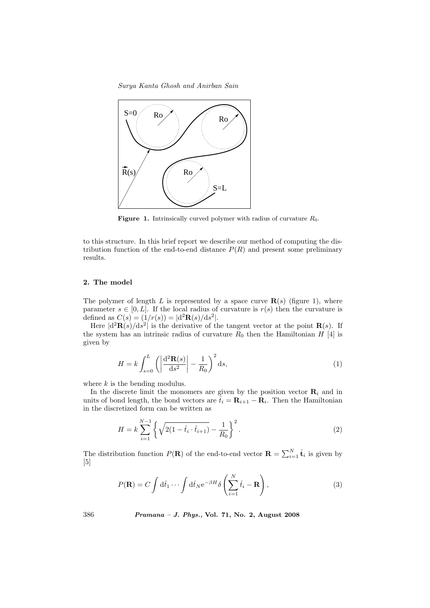Surya Kanta Ghosh and Anirban Sain



**Figure 1.** Intrinsically curved polymer with radius of curvature  $R_0$ .

to this structure. In this brief report we describe our method of computing the distribution function of the end-to-end distance  $P(R)$  and present some preliminary results.

## 2. The model

The polymer of length L is represented by a space curve  $\mathbf{R}(s)$  (figure 1), where parameter  $s \in [0, L]$ . If the local radius of curvature is  $r(s)$  then the curvature is defined as  $C(s) = (1/r(s)) = |d^2 \mathbf{R}(s)/ds^2|$ .

Here  $\left|\frac{d^2\mathbf{R}(s)}{ds^2}\right|$  is the derivative of the tangent vector at the point  $\mathbf{R}(s)$ . If the system has an intrinsic radius of curvature  $R_0$  then the Hamiltonian  $H$ <sup>[4]</sup> is given by

$$
H = k \int_{s=0}^{L} \left( \left| \frac{\mathrm{d}^2 \mathbf{R}(s)}{\mathrm{d}s^2} \right| - \frac{1}{R_0} \right)^2 \mathrm{d}s,\tag{1}
$$

where  $k$  is the bending modulus.

In the discrete limit the monomers are given by the position vector  $\mathbf{R}_i$  and in units of bond length, the bond vectors are  $\tilde{t}_i = \mathbf{R}_{i+1} - \mathbf{R}_i$ . Then the Hamiltonian in the discretized form can be written as

$$
H = k \sum_{i=1}^{N-1} \left\{ \sqrt{2(1 - \hat{t}_i \cdot \hat{t}_{i+1})} - \frac{1}{R_0} \right\}^2.
$$
 (2)

The distribution function  $P(\mathbf{R})$  of the end-to-end vector  $\mathbf{R} = \sum_{i=1}^{N} \hat{\mathbf{t}}_i$  is given by [5]

$$
P(\mathbf{R}) = C \int d\hat{t}_1 \cdots \int d\hat{t}_N e^{-\beta H} \delta\left(\sum_{i=1}^N \hat{t}_i - \mathbf{R}\right), \tag{3}
$$

386 Pramana – J. Phys., Vol. 71, No. 2, August 2008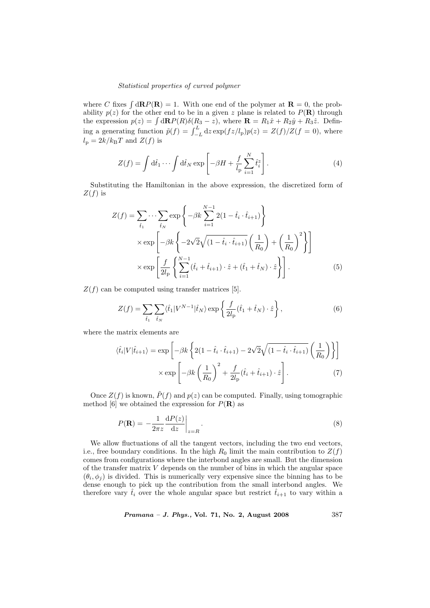#### Statistical properties of curved polymer

where C fixes  $\int d\mathbf{R} P(\mathbf{R}) = 1$ . With one end of the polymer at  $\mathbf{R} = 0$ , the probability  $p(z)$  for the other end to be in a given z plane is related to  $P(\mathbf{R})$  through ability  $p(z)$  for the other end to be in a given z plane is related to  $P(\mathbf{R})$  through<br>the expression  $p(z) = \int d\mathbf{R}P(R)\delta(R_3 - z)$ , where  $\mathbf{R} = R_1\hat{x} + R_2\hat{y} + R_3\hat{z}$ . Defin-<br>ing a generating function  $\tilde{p}(f) = \int_{-L$  $l_{\rm p} = 2k/k_{\rm B}T$  and  $Z(f)$  is

$$
Z(f) = \int d\hat{t}_1 \cdots \int d\hat{t}_N \exp\left[-\beta H + \frac{f}{l_P} \sum_{i=1}^N \hat{t}_i^z\right].
$$
 (4)

Substituting the Hamiltonian in the above expression, the discretized form of  $Z(f)$  is

$$
Z(f) = \sum_{\hat{t}_1} \cdots \sum_{\hat{t}_N} \exp\left\{-\beta k \sum_{i=1}^{N-1} 2(1 - \hat{t}_i \cdot \hat{t}_{i+1})\right\}
$$

$$
\times \exp\left[-\beta k \left\{-2\sqrt{2}\sqrt{(1 - \hat{t}_i \cdot \hat{t}_{i+1})} \left(\frac{1}{R_0}\right) + \left(\frac{1}{R_0}\right)^2\right\}\right]
$$

$$
\times \exp\left[\frac{f}{2l_p} \left\{\sum_{i=1}^{N-1} (\hat{t}_i + \hat{t}_{i+1}) \cdot \hat{z} + (\hat{t}_1 + \hat{t}_N) \cdot \hat{z}\right\}\right].
$$
(5)

 $Z(f)$  can be computed using transfer matrices [5].

$$
Z(f) = \sum_{\hat{t}_1} \sum_{\hat{t}_N} \langle \hat{t}_1 | V^{N-1} | \hat{t}_N \rangle \exp\left\{ \frac{f}{2l_p} (\hat{t}_1 + \hat{t}_N) \cdot \hat{z} \right\},\tag{6}
$$

where the matrix elements are

$$
\langle \hat{t}_i | V | \hat{t}_{i+1} \rangle = \exp \left[ -\beta k \left\{ 2(1 - \hat{t}_i \cdot \hat{t}_{i+1}) - 2\sqrt{2}\sqrt{(1 - \hat{t}_i \cdot \hat{t}_{i+1})} \left(\frac{1}{R_0}\right) \right\} \right]
$$

$$
\times \exp \left[ -\beta k \left(\frac{1}{R_0}\right)^2 + \frac{f}{2l_{\rm p}} (\hat{t}_i + \hat{t}_{i+1}) \cdot \hat{z} \right]. \tag{7}
$$

Once  $Z(f)$  is known,  $\tilde{P}(f)$  and  $p(z)$  can be computed. Finally, using tomographic method [6] we obtained the expression for  $P(\mathbf{R})$  as

$$
P(\mathbf{R}) = -\frac{1}{2\pi z} \frac{\mathrm{d}P(z)}{\mathrm{d}z} \bigg|_{z=R} . \tag{8}
$$

We allow fluctuations of all the tangent vectors, including the two end vectors, i.e., free boundary conditions. In the high  $R_0$  limit the main contribution to  $Z(f)$ comes from configurations where the interbond angles are small. But the dimension of the transfer matrix  $V$  depends on the number of bins in which the angular space  $(\theta_i, \phi_j)$  is divided. This is numerically very expensive since the binning has to be dense enough to pick up the contribution from the small interbond angles. We therefore vary  $\hat{t}_i$  over the whole angular space but restrict  $\hat{t}_{i+1}$  to vary within a

Pramana – J. Phys., Vol. 71, No. 2, August 2008 387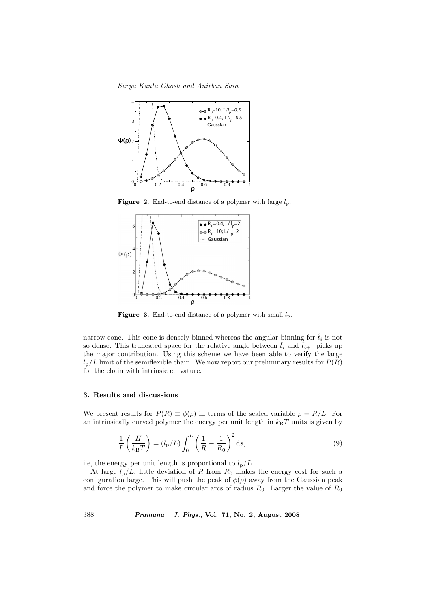Surya Kanta Ghosh and Anirban Sain



**Figure 2.** End-to-end distance of a polymer with large  $l_p$ .



**Figure 3.** End-to-end distance of a polymer with small  $l_p$ .

narrow cone. This cone is densely binned whereas the angular binning for  $\hat{t}_i$  is not so dense. This truncated space for the relative angle between  $\hat{t}_i$  and  $\hat{t}_{i+1}$  picks up the major contribution. Using this scheme we have been able to verify the large  $l_p/L$  limit of the semiflexible chain. We now report our preliminary results for  $P(R)$ for the chain with intrinsic curvature.

#### 3. Results and discussions

We present results for  $P(R) \equiv \phi(\rho)$  in terms of the scaled variable  $\rho = R/L$ . For an intrinsically curved polymer the energy per unit length in  $k_BT$  units is given by

$$
\frac{1}{L}\left(\frac{H}{k_{\mathrm{B}}T}\right) = (l_{\mathrm{p}}/L)\int_{0}^{L}\left(\frac{1}{R} - \frac{1}{R_{0}}\right)^{2}\mathrm{d}s,\tag{9}
$$

i.e, the energy per unit length is proportional to  $l_{\rm p}/L$ .

At large  $l_p/L$ , little deviation of R from  $R_0$  makes the energy cost for such a configuration large. This will push the peak of  $\phi(\rho)$  away from the Gaussian peak and force the polymer to make circular arcs of radius  $R_0$ . Larger the value of  $R_0$ 

388 Pramana – J. Phys., Vol. 71, No. 2, August 2008